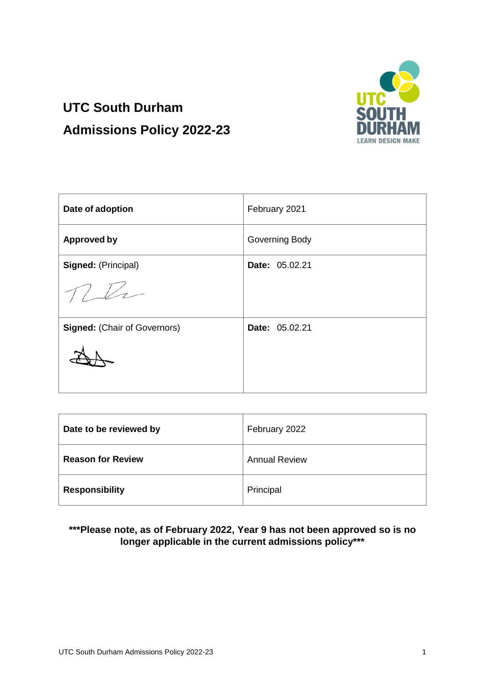

# **UTC South Durham Admissions Policy 2022-23**

| Date of adoption                    | February 2021  |
|-------------------------------------|----------------|
| <b>Approved by</b>                  | Governing Body |
| Signed: (Principal)                 | Date: 05.02.21 |
|                                     |                |
| <b>Signed: (Chair of Governors)</b> | Date: 05.02.21 |
|                                     |                |

| Date to be reviewed by   | February 2022        |
|--------------------------|----------------------|
| <b>Reason for Review</b> | <b>Annual Review</b> |
| <b>Responsibility</b>    | Principal            |

# **\*\*\*Please note, as of February 2022, Year 9 has not been approved so is no longer applicable in the current admissions policy\*\*\***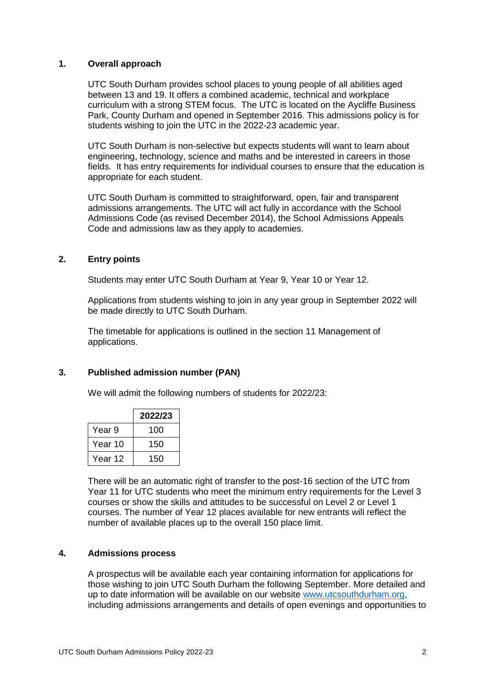# **1. Overall approach**

UTC South Durham provides school places to young people of all abilities aged between 13 and 19. It offers a combined academic, technical and workplace curriculum with a strong STEM focus. The UTC is located on the Aycliffe Business Park, County Durham and opened in September 2016. This admissions policy is for students wishing to join the UTC in the 2022-23 academic year.

UTC South Durham is non-selective but expects students will want to learn about engineering, technology, science and maths and be interested in careers in those fields. It has entry requirements for individual courses to ensure that the education is appropriate for each student.

UTC South Durham is committed to straightforward, open, fair and transparent admissions arrangements. The UTC will act fully in accordance with the School Admissions Code (as revised December 2014), the School Admissions Appeals Code and admissions law as they apply to academies.

# **2. Entry points**

Students may enter UTC South Durham at Year 9, Year 10 or Year 12.

Applications from students wishing to join in any year group in September 2022 will be made directly to UTC South Durham.

The timetable for applications is outlined in the section 11 Management of applications.

#### **3. Published admission number (PAN)**

We will admit the following numbers of students for 2022/23:

|         | 2022/23 |
|---------|---------|
| Year 9  | 100     |
| Year 10 | 150     |
| Year 12 | 150     |

There will be an automatic right of transfer to the post-16 section of the UTC from Year 11 for UTC students who meet the minimum entry requirements for the Level 3 courses or show the skills and attitudes to be successful on Level 2 or Level 1 courses. The number of Year 12 places available for new entrants will reflect the number of available places up to the overall 150 place limit.

#### **4. Admissions process**

A prospectus will be available each year containing information for applications for those wishing to join UTC South Durham the following September. More detailed and up to date information will be available on our website [www.utcsouthdurham.org,](http://www.utcsouthdurham.org/) including admissions arrangements and details of open evenings and opportunities to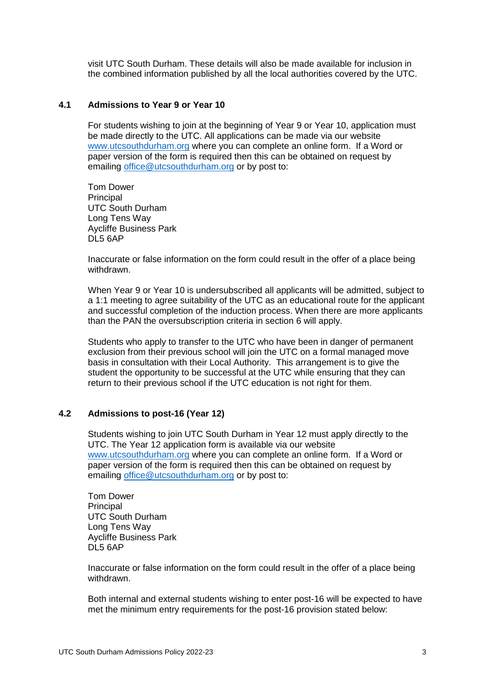visit UTC South Durham. These details will also be made available for inclusion in the combined information published by all the local authorities covered by the UTC.

# **4.1 Admissions to Year 9 or Year 10**

For students wishing to join at the beginning of Year 9 or Year 10, application must be made directly to the UTC. All applications can be made via our website [www.utcsouthdurham.org](http://www.utcsouthdurham.org/) where you can complete an online form. If a Word or paper version of the form is required then this can be obtained on request by emailing [office@utcsouthdurham.org](mailto:office@utcsouthdurham.org) or by post to:

Tom Dower Principal UTC South Durham Long Tens Way Aycliffe Business Park DL5 6AP

Inaccurate or false information on the form could result in the offer of a place being withdrawn.

When Year 9 or Year 10 is undersubscribed all applicants will be admitted, subject to a 1:1 meeting to agree suitability of the UTC as an educational route for the applicant and successful completion of the induction process. When there are more applicants than the PAN the oversubscription criteria in section 6 will apply.

Students who apply to transfer to the UTC who have been in danger of permanent exclusion from their previous school will join the UTC on a formal managed move basis in consultation with their Local Authority. This arrangement is to give the student the opportunity to be successful at the UTC while ensuring that they can return to their previous school if the UTC education is not right for them.

#### **4.2 Admissions to post-16 (Year 12)**

Students wishing to join UTC South Durham in Year 12 must apply directly to the UTC. The Year 12 application form is available via our website [www.utcsouthdurham.org](http://www.utcsouthdurham.org/) where you can complete an online form. If a Word or paper version of the form is required then this can be obtained on request by emailing [office@utcsouthdurham.org](mailto:office@utcsouthdurham.org) or by post to:

Tom Dower **Principal** UTC South Durham Long Tens Way Aycliffe Business Park DL5 6AP

Inaccurate or false information on the form could result in the offer of a place being withdrawn.

Both internal and external students wishing to enter post-16 will be expected to have met the minimum entry requirements for the post-16 provision stated below: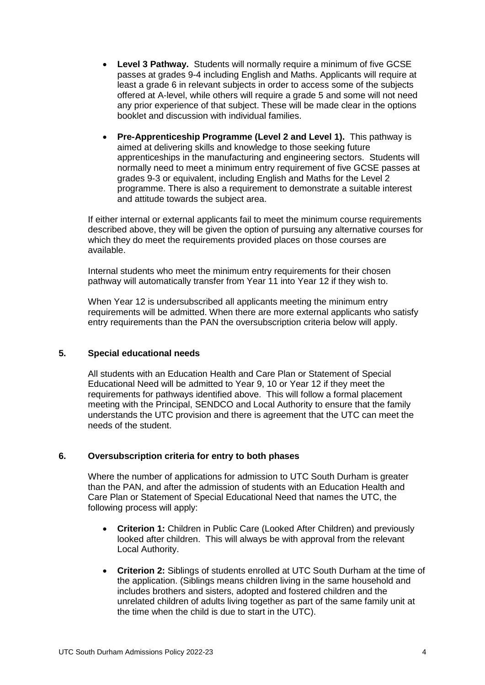- **Level 3 Pathway.** Students will normally require a minimum of five GCSE passes at grades 9-4 including English and Maths. Applicants will require at least a grade 6 in relevant subjects in order to access some of the subjects offered at A-level, while others will require a grade 5 and some will not need any prior experience of that subject. These will be made clear in the options booklet and discussion with individual families.
- **Pre-Apprenticeship Programme (Level 2 and Level 1).** This pathway is aimed at delivering skills and knowledge to those seeking future apprenticeships in the manufacturing and engineering sectors. Students will normally need to meet a minimum entry requirement of five GCSE passes at grades 9-3 or equivalent, including English and Maths for the Level 2 programme. There is also a requirement to demonstrate a suitable interest and attitude towards the subject area.

If either internal or external applicants fail to meet the minimum course requirements described above, they will be given the option of pursuing any alternative courses for which they do meet the requirements provided places on those courses are available.

Internal students who meet the minimum entry requirements for their chosen pathway will automatically transfer from Year 11 into Year 12 if they wish to.

When Year 12 is undersubscribed all applicants meeting the minimum entry requirements will be admitted. When there are more external applicants who satisfy entry requirements than the PAN the oversubscription criteria below will apply.

# **5. Special educational needs**

All students with an Education Health and Care Plan or Statement of Special Educational Need will be admitted to Year 9, 10 or Year 12 if they meet the requirements for pathways identified above. This will follow a formal placement meeting with the Principal, SENDCO and Local Authority to ensure that the family understands the UTC provision and there is agreement that the UTC can meet the needs of the student.

# **6. Oversubscription criteria for entry to both phases**

Where the number of applications for admission to UTC South Durham is greater than the PAN, and after the admission of students with an Education Health and Care Plan or Statement of Special Educational Need that names the UTC, the following process will apply:

- **Criterion 1:** Children in Public Care (Looked After Children) and previously looked after children. This will always be with approval from the relevant Local Authority.
- **Criterion 2:** Siblings of students enrolled at UTC South Durham at the time of the application. (Siblings means children living in the same household and includes brothers and sisters, adopted and fostered children and the unrelated children of adults living together as part of the same family unit at the time when the child is due to start in the UTC).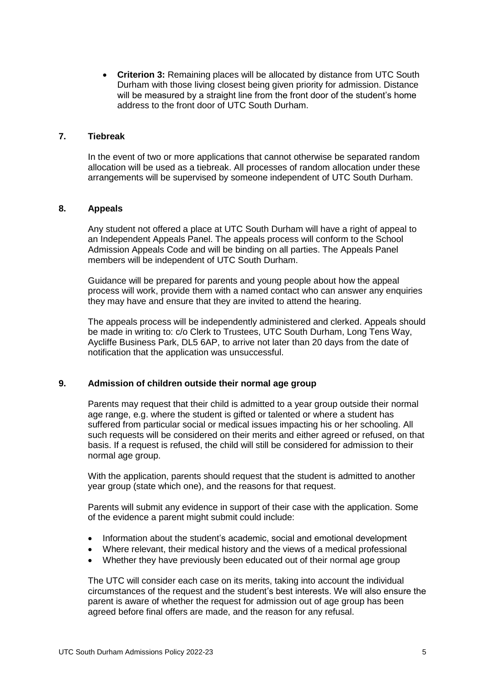**Criterion 3:** Remaining places will be allocated by distance from UTC South Durham with those living closest being given priority for admission. Distance will be measured by a straight line from the front door of the student's home address to the front door of UTC South Durham.

### **7. Tiebreak**

In the event of two or more applications that cannot otherwise be separated random allocation will be used as a tiebreak. All processes of random allocation under these arrangements will be supervised by someone independent of UTC South Durham.

# **8. Appeals**

Any student not offered a place at UTC South Durham will have a right of appeal to an Independent Appeals Panel. The appeals process will conform to the School Admission Appeals Code and will be binding on all parties. The Appeals Panel members will be independent of UTC South Durham.

Guidance will be prepared for parents and young people about how the appeal process will work, provide them with a named contact who can answer any enquiries they may have and ensure that they are invited to attend the hearing.

The appeals process will be independently administered and clerked. Appeals should be made in writing to: c/o Clerk to Trustees, UTC South Durham, Long Tens Way, Aycliffe Business Park, DL5 6AP, to arrive not later than 20 days from the date of notification that the application was unsuccessful.

# **9. Admission of children outside their normal age group**

Parents may request that their child is admitted to a year group outside their normal age range, e.g. where the student is gifted or talented or where a student has suffered from particular social or medical issues impacting his or her schooling. All such requests will be considered on their merits and either agreed or refused, on that basis. If a request is refused, the child will still be considered for admission to their normal age group.

With the application, parents should request that the student is admitted to another year group (state which one), and the reasons for that request.

Parents will submit any evidence in support of their case with the application. Some of the evidence a parent might submit could include:

- Information about the student's academic, social and emotional development
- Where relevant, their medical history and the views of a medical professional
- Whether they have previously been educated out of their normal age group

The UTC will consider each case on its merits, taking into account the individual circumstances of the request and the student's best interests. We will also ensure the parent is aware of whether the request for admission out of age group has been agreed before final offers are made, and the reason for any refusal.